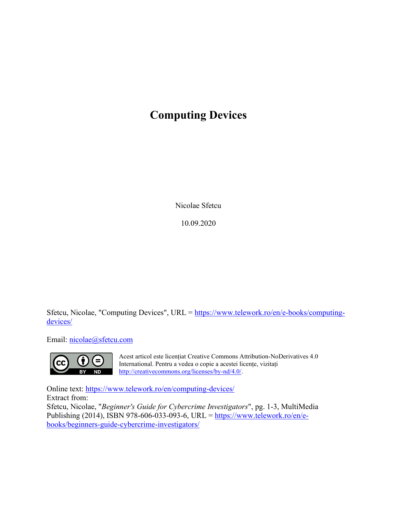## **Computing Devices**

Nicolae Sfetcu

10.09.2020

Sfetcu, Nicolae, "Computing Devices", URL = [https://www.telework.ro/en/e-books/computing](https://www.telework.ro/en/e-books/computing-devices/)[devices/](https://www.telework.ro/en/e-books/computing-devices/)

Email: [nicolae@sfetcu.com](mailto:nicolae@sfetcu.com)



Acest articol este licențiat Creative Commons Attribution-NoDerivatives 4.0 International. Pentru a vedea o copie a acestei licențe, vizitați [http://creativecommons.org/licenses/by-nd/4.0/.](http://creativecommons.org/licenses/by-nd/4.0/)

Online text:<https://www.telework.ro/en/computing-devices/> Extract from: Sfetcu, Nicolae, "*Beginner's Guide for Cybercrime Investigators*", pg. 1-3, MultiMedia Publishing (2014), ISBN 978-606-033-093-6, URL = [https://www.telework.ro/en/e-](https://www.telework.ro/en/e-books/beginners-guide-cybercrime-investigators/)

[books/beginners-guide-cybercrime-investigators/](https://www.telework.ro/en/e-books/beginners-guide-cybercrime-investigators/)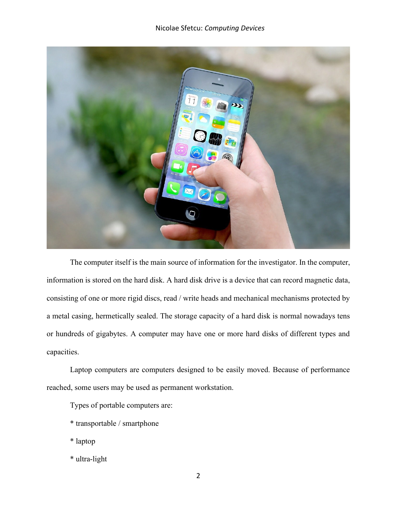## Nicolae Sfetcu: *Computing Devices*



The computer itself is the main source of information for the investigator. In the computer, information is stored on the hard disk. A hard disk drive is a device that can record magnetic data, consisting of one or more rigid discs, read / write heads and mechanical mechanisms protected by a metal casing, hermetically sealed. The storage capacity of a hard disk is normal nowadays tens or hundreds of gigabytes. A computer may have one or more hard disks of different types and capacities.

Laptop computers are computers designed to be easily moved. Because of performance reached, some users may be used as permanent workstation.

Types of portable computers are:

- \* transportable / smartphone
- \* laptop
- \* ultra-light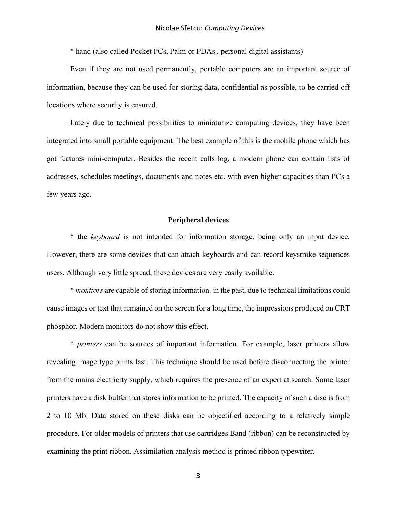\* hand (also called Pocket PCs, Palm or PDAs , personal digital assistants)

Even if they are not used permanently, portable computers are an important source of information, because they can be used for storing data, confidential as possible, to be carried off locations where security is ensured.

Lately due to technical possibilities to miniaturize computing devices, they have been integrated into small portable equipment. The best example of this is the mobile phone which has got features mini-computer. Besides the recent calls log, a modern phone can contain lists of addresses, schedules meetings, documents and notes etc. with even higher capacities than PCs a few years ago.

## **Peripheral devices**

\* the *keyboard* is not intended for information storage, being only an input device. However, there are some devices that can attach keyboards and can record keystroke sequences users. Although very little spread, these devices are very easily available.

\* *monitors* are capable of storing information. in the past, due to technical limitations could cause images or text that remained on the screen for a long time, the impressions produced on CRT phosphor. Modern monitors do not show this effect.

\* *printers* can be sources of important information. For example, laser printers allow revealing image type prints last. This technique should be used before disconnecting the printer from the mains electricity supply, which requires the presence of an expert at search. Some laser printers have a disk buffer that stores information to be printed. The capacity of such a disc is from 2 to 10 Mb. Data stored on these disks can be objectified according to a relatively simple procedure. For older models of printers that use cartridges Band (ribbon) can be reconstructed by examining the print ribbon. Assimilation analysis method is printed ribbon typewriter.